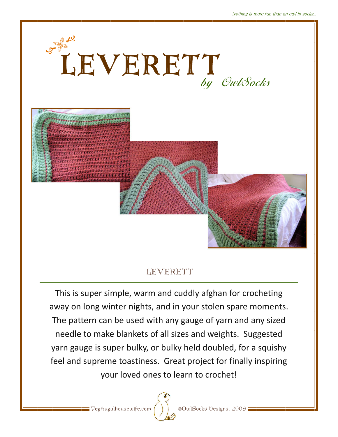

## LEVERETT

This is super simple, warm and cuddly afghan for crocheting away on long winter nights, and in your stolen spare moments. The pattern can be used with any gauge of yarn and any sized needle to make blankets of all sizes and weights. Suggested yarn gauge is super bulky, or bulky held doubled, for a squishy feel and supreme toastiness. Great project for finally inspiring your loved ones to learn to crochet!



 $\sqrt{\frac{1}{\sqrt{2}}}$  Vegfrugalhousewife.com  $\left(\begin{array}{c} \end{array}\right)$  ©OwlSocks Designs, 2009